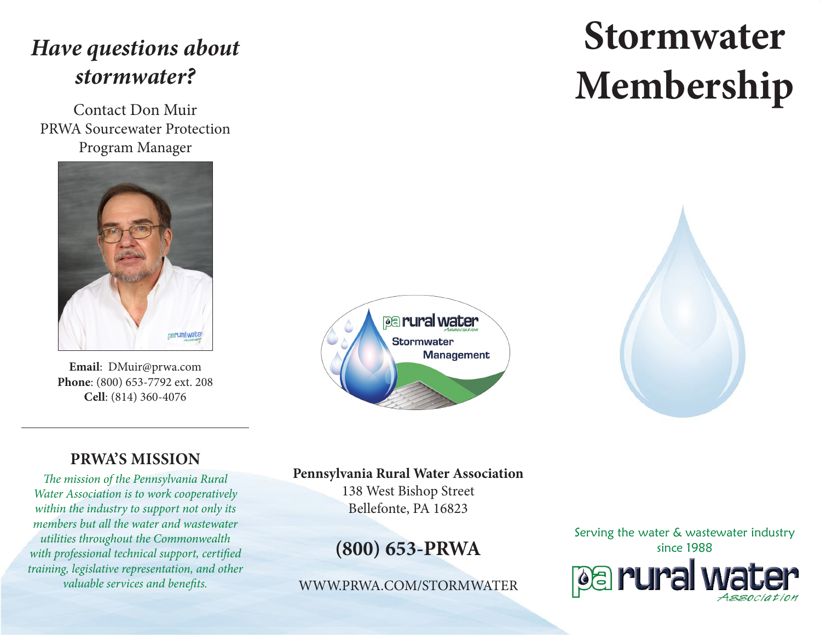# *Have questions about stormwater?*

Contact Don Muir PRWA Sourcewater Protection Program Manager



**Email**: DMuir@prwa.com **Phone**: (800) 653-7792 ext. 208 **Cell**: (814) 360-4076



# **Stormwater Membership**



## **PRWA'S MISSION**

*The mission of the Pennsylvania Rural Water Association is to work cooperatively within the industry to support not only its members but all the water and wastewater utilities throughout the Commonwealth with professional technical support, certified training, legislative representation, and other valuable services and benefits.*

#### **Pennsylvania Rural Water Association**

138 West Bishop Street Bellefonte, PA 16823

# **(800) 653-PRWA**

WWW.PRWA.COM/STORMWATER

Serving the water & wastewater industry since 1988pa rural wa